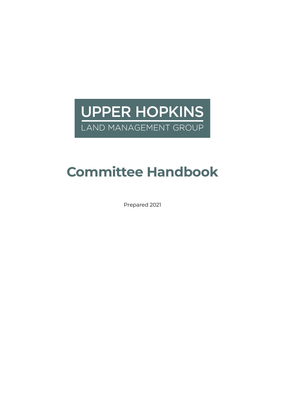**UPPER HOPKINS** LAND MANAGEMENT GROUP

# **Committee Handbook**

Prepared 2021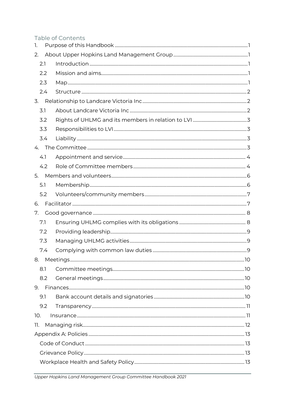## Table of Contents

| 1.  |     |  |  |
|-----|-----|--|--|
| 2.  |     |  |  |
| 2.1 |     |  |  |
| 2.2 |     |  |  |
| 2.3 |     |  |  |
|     | 2.4 |  |  |
| 3.  |     |  |  |
| 3.1 |     |  |  |
| 3.2 |     |  |  |
| 3.3 |     |  |  |
|     | 3.4 |  |  |
|     |     |  |  |
| 4.1 |     |  |  |
|     | 4.2 |  |  |
| 5.  |     |  |  |
| 5.1 |     |  |  |
|     | 5.2 |  |  |
| 6.  |     |  |  |
| 7.  |     |  |  |
| 7.1 |     |  |  |
| 7.2 |     |  |  |
| 7.3 |     |  |  |
|     | 7.4 |  |  |
|     |     |  |  |
| 8.1 |     |  |  |
|     | 8.2 |  |  |
|     |     |  |  |
| 9.1 |     |  |  |
|     | 9.2 |  |  |
| 10. |     |  |  |
| 11. |     |  |  |
|     |     |  |  |
|     |     |  |  |
|     |     |  |  |
|     |     |  |  |
|     |     |  |  |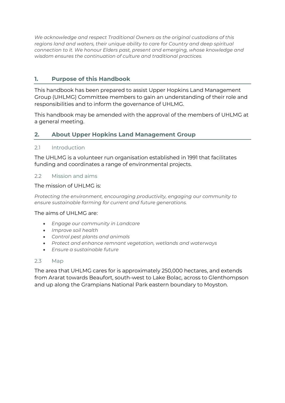*We acknowledge and respect Traditional Owners as the original custodians of this regions land and waters, their unique ability to care for Country and deep spiritual connection to it. We honour Elders past, present and emerging, whose knowledge and wisdom ensures the continuation of culture and traditional practices.* 

### <span id="page-3-0"></span>**1. Purpose of this Handbook**

This handbook has been prepared to assist Upper Hopkins Land Management Group (UHLMG) Committee members to gain an understanding of their role and responsibilities and to inform the governance of UHLMG.

This handbook may be amended with the approval of the members of UHLMG at a general meeting.

#### <span id="page-3-1"></span>**2. About Upper Hopkins Land Management Group**

#### <span id="page-3-2"></span>2.1 Introduction

The UHLMG is a volunteer run organisation established in 1991 that facilitates funding and coordinates a range of environmental projects.

#### <span id="page-3-3"></span>2.2 Mission and aims

#### The mission of UHLMG is:

*Protecting the environment, encouraging productivity, engaging our community to ensure sustainable farming for current and future generations.*

#### The aims of UHLMG are:

- *Engage our community in Landcare*
- *Improve soil health*
- *Control pest plants and animals*
- *Protect and enhance remnant vegetation, wetlands and waterways*
- *Ensure a sustainable future*

#### <span id="page-3-4"></span>2.3 Map

The area that UHLMG cares for is approximately 250,000 hectares, and extends from Ararat towards Beaufort, south-west to Lake Bolac, across to Glenthompson and up along the Grampians National Park eastern boundary to Moyston.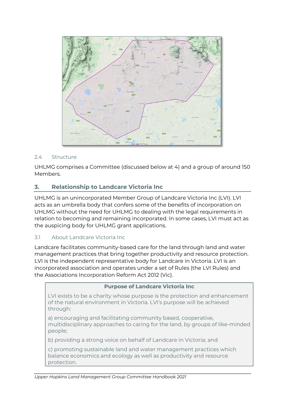

#### <span id="page-4-0"></span>2.4 Structure

UHLMG comprises a Committee (discussed below at 4) and a group of around 150 Members.

## <span id="page-4-1"></span>**3. Relationship to Landcare Victoria Inc**

UHLMG is an unincorporated Member Group of Landcare Victoria Inc (LVI). LVI acts as an umbrella body that confers some of the benefits of incorporation on UHLMG without the need for UHLMG to dealing with the legal requirements in relation to becoming and remaining incorporated. In some cases, LVI must act as the auspicing body for UHLMG grant applications.

#### <span id="page-4-2"></span>3.1 About Landcare Victoria Inc

Landcare facilitates community-based care for the land through land and water management practices that bring together productivity and resource protection. LVI is the independent representative body for Landcare in Victoria. LVI is an incorporated association and operates under a set of Rules (the LVI Rules) and the Associations Incorporation Reform Act 2012 (Vic).

#### **Purpose of Landcare Victoria Inc**

LVI exists to be a charity whose purpose is the protection and enhancement of the natural environment in Victoria. LVI's purpose will be achieved through:

a) encouraging and facilitating community based, cooperative, multidisciplinary approaches to caring for the land, by groups of like-minded people;

b) providing a strong voice on behalf of Landcare in Victoria; and

c) promoting sustainable land and water management practices which balance economics and ecology as well as productivity and resource protection.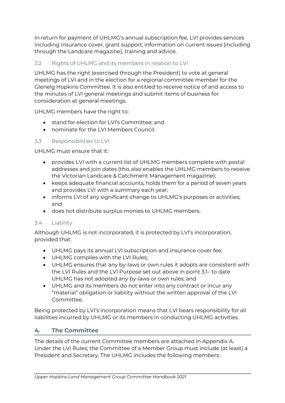In return for payment of UHLMG's annual subscription fee, LVI provides services including insurance cover, grant support, information on current issues (including through the Landcare magazine), training and advice.

## <span id="page-5-0"></span>3.2 Rights of UHLMG and its members in relation to LVI

UHLMG has the right (exercised through the President) to vote at general meetings of LVI and in the election for a regional committee member for the Glenelg Hopkins Committee. It is also entitled to receive notice of and access to the minutes of LVI general meetings and submit items of business for consideration at general meetings.

UHLMG members have the right to:

- stand for election for LVI's Committee; and
- nominate for the LVI Members Council.

## <span id="page-5-1"></span>3.3 Responsibilities to LVI

UHLMG must ensure that it:

- provides LVI with a current list of UHLMG members complete with postal addresses and join dates (this also enables the UHLMG members to receive the Victorian Landcare & Catchment Management magazine);
- keeps adequate financial accounts, holds them for a period of seven years and provides LVI with a summary each year;
- informs LVI of any significant change to UHLMG's purposes or activities; and
- does not distribute surplus monies to UHLMG members.

## <span id="page-5-2"></span>3.4 Liability

Although UHLMG is not incorporated, it is protected by LVI's incorporation, provided that:

- UHLMG pays its annual LVI subscription and insurance cover fee;
- UHLMG complies with the LVI Rules;
- UHLMG ensures that any by-laws or own rules it adopts are consistent with the LVI Rules and the LVI Purpose set out above in point 3.1– to date UHLMG has not adopted any by-laws or own rules; and
- UHLMG and its members do not enter into any contract or incur any "material" obligation or liability without the written approval of the LVI Committee.

Being protected by LVI's incorporation means that LVI bears responsibility for all liabilities incurred by UHLMG or its members in conducting UHLMG activities.

## <span id="page-5-3"></span>**4. The Committee**

The details of the current Committee members are attached in Appendix A. Under the LVI Rules, the Committee of a Member Group must include (at least) a President and Secretary. The UHLMG includes the following members: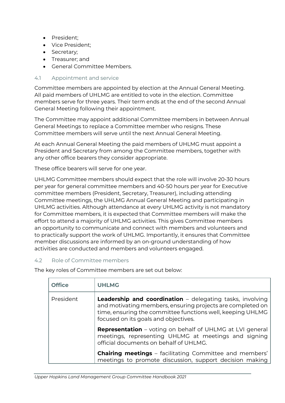- President;
- Vice President;
- Secretary;
- Treasurer; and
- General Committee Members.

#### <span id="page-6-0"></span>4.1 Appointment and service

Committee members are appointed by election at the Annual General Meeting. All paid members of UHLMG are entitled to vote in the election. Committee members serve for three years. Their term ends at the end of the second Annual General Meeting following their appointment.

The Committee may appoint additional Committee members in between Annual General Meetings to replace a Committee member who resigns. These Committee members will serve until the next Annual General Meeting.

At each Annual General Meeting the paid members of UHLMG must appoint a President and Secretary from among the Committee members, together with any other office bearers they consider appropriate.

These office bearers will serve for one year.

UHLMG Committee members should expect that the role will involve 20-30 hours per year for general committee members and 40-50 hours per year for Executive committee members (President, Secretary, Treasurer), including attending Committee meetings, the UHLMG Annual General Meeting and participating in UHLMG activities. Although attendance at every UHLMG activity is not mandatory for Committee members, it is expected that Committee members will make the effort to attend a majority of UHLMG activities. This gives Committee members an opportunity to communicate and connect with members and volunteers and to practically support the work of UHLMG. Importantly, it ensures that Committee member discussions are informed by an on-ground understanding of how activities are conducted and members and volunteers engaged.

#### <span id="page-6-1"></span>4.2 Role of Committee members

The key roles of Committee members are set out below:

| <b>Office</b> | <b>UHLMG</b>                                                                                                                                                                                                                         |
|---------------|--------------------------------------------------------------------------------------------------------------------------------------------------------------------------------------------------------------------------------------|
| President     | <b>Leadership and coordination</b> – delegating tasks, involving<br>and motivating members, ensuring projects are completed on<br>time, ensuring the committee functions well, keeping UHLMG<br>focused on its goals and objectives. |
|               | <b>Representation</b> – voting on behalf of UHLMG at LVI general<br>meetings, representing UHLMG at meetings and signing<br>official documents on behalf of UHLMG.                                                                   |
|               | <b>Chairing meetings</b> - facilitating Committee and members'<br>meetings to promote discussion, support decision making                                                                                                            |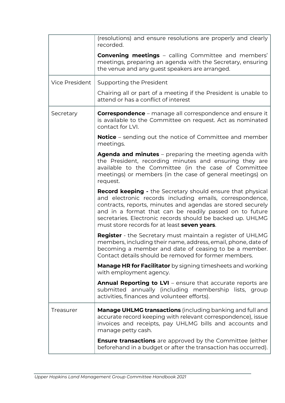|                                                                                                                                                                | (resolutions) and ensure resolutions are properly and clearly<br>recorded.                                                                                                                                                                                                                                                                                            |
|----------------------------------------------------------------------------------------------------------------------------------------------------------------|-----------------------------------------------------------------------------------------------------------------------------------------------------------------------------------------------------------------------------------------------------------------------------------------------------------------------------------------------------------------------|
|                                                                                                                                                                | <b>Convening meetings</b> - calling Committee and members'<br>meetings, preparing an agenda with the Secretary, ensuring<br>the venue and any guest speakers are arranged.                                                                                                                                                                                            |
| <b>Vice President</b>                                                                                                                                          | Supporting the President                                                                                                                                                                                                                                                                                                                                              |
|                                                                                                                                                                | Chairing all or part of a meeting if the President is unable to<br>attend or has a conflict of interest                                                                                                                                                                                                                                                               |
| <b>Correspondence</b> – manage all correspondence and ensure it<br>Secretary<br>is available to the Committee on request. Act as nominated<br>contact for LVI. |                                                                                                                                                                                                                                                                                                                                                                       |
|                                                                                                                                                                | <b>Notice</b> – sending out the notice of Committee and member<br>meetings.                                                                                                                                                                                                                                                                                           |
|                                                                                                                                                                | <b>Agenda and minutes</b> – preparing the meeting agenda with<br>the President, recording minutes and ensuring they are<br>available to the Committee (in the case of Committee<br>meetings) or members (in the case of general meetings) on<br>request.                                                                                                              |
|                                                                                                                                                                | <b>Record keeping -</b> the Secretary should ensure that physical<br>and electronic records including emails, correspondence,<br>contracts, reports, minutes and agendas are stored securely<br>and in a format that can be readily passed on to future<br>secretaries. Electronic records should be backed up. UHLMG<br>must store records for at least seven years. |
|                                                                                                                                                                | <b>Register</b> - the Secretary must maintain a register of UHLMG<br>members, including their name, address, email, phone, date of<br>becoming a member and date of ceasing to be a member.<br>Contact details should be removed for former members.                                                                                                                  |
|                                                                                                                                                                | <b>Manage HR for Facilitator</b> by signing timesheets and working<br>with employment agency.                                                                                                                                                                                                                                                                         |
|                                                                                                                                                                | <b>Annual Reporting to LVI</b> – ensure that accurate reports are<br>submitted annually (including membership lists, group<br>activities, finances and volunteer efforts).                                                                                                                                                                                            |
| Treasurer                                                                                                                                                      | <b>Manage UHLMG transactions</b> (including banking and full and<br>accurate record keeping with relevant correspondence), issue<br>invoices and receipts, pay UHLMG bills and accounts and<br>manage petty cash.                                                                                                                                                     |
|                                                                                                                                                                | <b>Ensure transactions</b> are approved by the Committee (either<br>beforehand in a budget or after the transaction has occurred).                                                                                                                                                                                                                                    |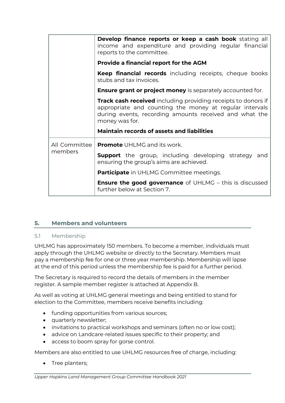|               | <b>Develop finance reports or keep a cash book</b> stating all<br>income and expenditure and providing regular financial<br>reports to the committee.                                                |
|---------------|------------------------------------------------------------------------------------------------------------------------------------------------------------------------------------------------------|
|               | <b>Provide a financial report for the AGM</b>                                                                                                                                                        |
|               | <b>Keep financial records</b> including receipts, cheque books<br>stubs and tax invoices.                                                                                                            |
|               | <b>Ensure grant or project money</b> is separately accounted for.                                                                                                                                    |
|               | Track cash received including providing receipts to donors if<br>appropriate and counting the money at regular intervals<br>during events, recording amounts received and what the<br>money was for. |
|               | <b>Maintain records of assets and liabilities</b>                                                                                                                                                    |
| All Committee | <b>Promote</b> UHLMG and its work.                                                                                                                                                                   |
| members       | <b>Support</b> the group, including developing strategy and<br>ensuring the group's aims are achieved.                                                                                               |
|               | <b>Participate</b> in UHLMG Committee meetings.                                                                                                                                                      |
|               | <b>Ensure the good governance</b> of UHLMG – this is discussed<br>further below at Section 7.                                                                                                        |

## <span id="page-8-0"></span>**5. Members and volunteers**

#### <span id="page-8-1"></span>5.1 Membership

UHLMG has approximately 150 members. To become a member, individuals must apply through the UHLMG website or directly to the Secretary. Members must pay a membership fee for one or three year membership. Membership will lapse at the end of this period unless the membership fee is paid for a further period.

The Secretary is required to record the details of members in the member register. A sample member register is attached at Appendix B.

As well as voting at UHLMG general meetings and being entitled to stand for election to the Committee, members receive benefits including:

- funding opportunities from various sources;
- quarterly newsletter;
- invitations to practical workshops and seminars (often no or low cost);
- advice on Landcare-related issues specific to their property; and
- access to boom spray for gorse control.

Members are also entitled to use UHLMG resources free of charge, including:

• Tree planters;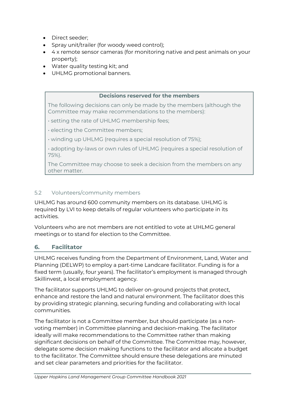- Direct seeder;
- Spray unit/trailer (for woody weed control);
- 4 x remote sensor cameras (for monitoring native and pest animals on your property);
- Water quality testing kit; and
- UHLMG promotional banners.

#### **Decisions reserved for the members**

The following decisions can only be made by the members (although the Committee may make recommendations to the members):

- setting the rate of UHLMG membership fees;
- electing the Committee members;
- winding up UHLMG (requires a special resolution of 75%);
- adopting by-laws or own rules of UHLMG (requires a special resolution of 75%).

The Committee may choose to seek a decision from the members on any other matter.

#### <span id="page-9-0"></span>5.2 Volunteers/community members

UHLMG has around 600 community members on its database. UHLMG is required by LVI to keep details of regular volunteers who participate in its activities.

Volunteers who are not members are not entitled to vote at UHLMG general meetings or to stand for election to the Committee.

#### <span id="page-9-1"></span>**6. Facilitator**

UHLMG receives funding from the Department of Environment, Land, Water and Planning (DELWP) to employ a part-time Landcare facilitator. Funding is for a fixed term (usually, four years). The facilitator's employment is managed through Skillinvest, a local employment agency.

The facilitator supports UHLMG to deliver on-ground projects that protect, enhance and restore the land and natural environment. The facilitator does this by providing strategic planning, securing funding and collaborating with local communities.

The facilitator is not a Committee member, but should participate (as a nonvoting member) in Committee planning and decision-making. The facilitator ideally will make recommendations to the Committee rather than making significant decisions on behalf of the Committee. The Committee may, however, delegate some decision making functions to the facilitator and allocate a budget to the facilitator. The Committee should ensure these delegations are minuted and set clear parameters and priorities for the facilitator.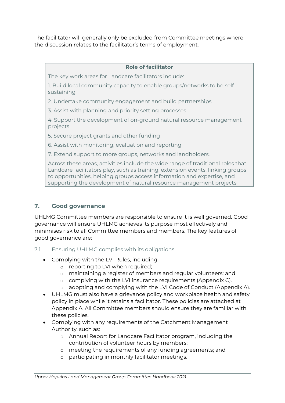The facilitator will generally only be excluded from Committee meetings where the discussion relates to the facilitator's terms of employment.

#### **Role of facilitator**

The key work areas for Landcare facilitators include:

1. Build local community capacity to enable groups/networks to be selfsustaining

2. Undertake community engagement and build partnerships

3. Assist with planning and priority setting processes

4. Support the development of on-ground natural resource management projects

5. Secure project grants and other funding

6. Assist with monitoring, evaluation and reporting

7. Extend support to more groups, networks and landholders.

Across these areas, activities include the wide range of traditional roles that Landcare facilitators play, such as training, extension events, linking groups to opportunities, helping groups access information and expertise, and supporting the development of natural resource management projects.

## <span id="page-10-0"></span>**7. Good governance**

UHLMG Committee members are responsible to ensure it is well governed. Good governance will ensure UHLMG achieves its purpose most effectively and minimises risk to all Committee members and members. The key features of good governance are:

<span id="page-10-1"></span>7.1 Ensuring UHLMG complies with its obligations

- Complying with the LVI Rules, including:
	- o reporting to LVI when required;
	- o maintaining a register of members and regular volunteers; and
	- o complying with the LVI insurance requirements (Appendix C).
	- o adopting and complying with the LVI Code of Conduct (Appendix A).
- UHLMG must also have a grievance policy and workplace health and safety policy in place while it retains a facilitator. These policies are attached at Appendix A. All Committee members should ensure they are familiar with these policies.
- Complying with any requirements of the Catchment Management Authority, such as:
	- o Annual Report for Landcare Facilitator program, including the contribution of volunteer hours by members;
	- o meeting the requirements of any funding agreements; and
	- o participating in monthly facilitator meetings.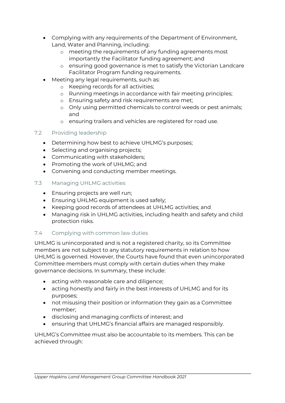- Complying with any requirements of the Department of Environment, Land, Water and Planning, including:
	- o meeting the requirements of any funding agreements most importantly the Facilitator funding agreement; and
	- o ensuring good governance is met to satisfy the Victorian Landcare Facilitator Program funding requirements.
- Meeting any legal requirements, such as:
	- o Keeping records for all activities;
	- o Running meetings in accordance with fair meeting principles;
	- o Ensuring safety and risk requirements are met;
	- o Only using permitted chemicals to control weeds or pest animals; and
	- o ensuring trailers and vehicles are registered for road use.

## <span id="page-11-0"></span>7.2 Providing leadership

- Determining how best to achieve UHLMG's purposes;
- Selecting and organising projects;
- Communicating with stakeholders;
- Promoting the work of UHLMG; and
- Convening and conducting member meetings.

## <span id="page-11-1"></span>7.3 Managing UHLMG activities

- Ensuring projects are well run;
- Ensuring UHLMG equipment is used safely;
- Keeping good records of attendees at UHLMG activities; and
- Managing risk in UHLMG activities, including health and safety and child protection risks.

## <span id="page-11-2"></span>7.4 Complying with common law duties

UHLMG is unincorporated and is not a registered charity, so its Committee members are not subject to any statutory requirements in relation to how UHLMG is governed. However, the Courts have found that even unincorporated Committee members must comply with certain duties when they make governance decisions. In summary, these include:

- acting with reasonable care and diligence;
- acting honestly and fairly in the best interests of UHLMG and for its purposes;
- not misusing their position or information they gain as a Committee member;
- disclosing and managing conflicts of interest; and
- ensuring that UHLMG's financial affairs are managed responsibly.

UHLMG's Committee must also be accountable to its members. This can be achieved through: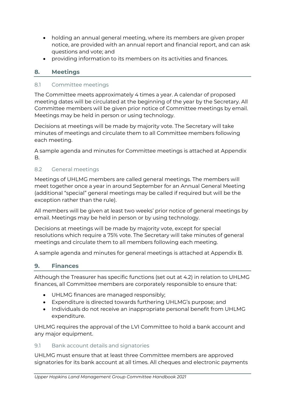- holding an annual general meeting, where its members are given proper notice, are provided with an annual report and financial report, and can ask questions and vote; and
- providing information to its members on its activities and finances.

#### <span id="page-12-0"></span>**8. Meetings**

#### <span id="page-12-1"></span>8.1 Committee meetings

The Committee meets approximately 4 times a year. A calendar of proposed meeting dates will be circulated at the beginning of the year by the Secretary. All Committee members will be given prior notice of Committee meetings by email. Meetings may be held in person or using technology.

Decisions at meetings will be made by majority vote. The Secretary will take minutes of meetings and circulate them to all Committee members following each meeting.

A sample agenda and minutes for Committee meetings is attached at Appendix B.

#### <span id="page-12-2"></span>8.2 General meetings

Meetings of UHLMG members are called general meetings. The members will meet together once a year in around September for an Annual General Meeting (additional "special" general meetings may be called if required but will be the exception rather than the rule).

All members will be given at least two weeks' prior notice of general meetings by email. Meetings may be held in person or by using technology.

Decisions at meetings will be made by majority vote, except for special resolutions which require a 75% vote. The Secretary will take minutes of general meetings and circulate them to all members following each meeting.

A sample agenda and minutes for general meetings is attached at Appendix B.

#### <span id="page-12-3"></span>**9. Finances**

Although the Treasurer has specific functions (set out at 4.2) in relation to UHLMG finances, all Committee members are corporately responsible to ensure that:

- UHLMG finances are managed responsibly;
- Expenditure is directed towards furthering UHLMG's purpose; and
- Individuals do not receive an inappropriate personal benefit from UHLMG expenditure.

UHLMG requires the approval of the LVI Committee to hold a bank account and any major equipment.

#### <span id="page-12-4"></span>9.1 Bank account details and signatories

UHLMG must ensure that at least three Committee members are approved signatories for its bank account at all times. All cheques and electronic payments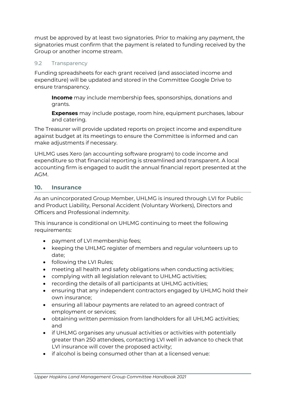must be approved by at least two signatories. Prior to making any payment, the signatories must confirm that the payment is related to funding received by the Group or another income stream.

#### <span id="page-13-0"></span>9.2 Transparency

Funding spreadsheets for each grant received (and associated income and expenditure) will be updated and stored in the Committee Google Drive to ensure transparency.

**Income** may include membership fees, sponsorships, donations and grants.

**Expenses** may include postage, room hire, equipment purchases, labour and catering.

The Treasurer will provide updated reports on project income and expenditure against budget at its meetings to ensure the Committee is informed and can make adjustments if necessary.

UHLMG uses Xero (an accounting software program) to code income and expenditure so that financial reporting is streamlined and transparent. A local accounting firm is engaged to audit the annual financial report presented at the AGM.

#### <span id="page-13-1"></span>**10. Insurance**

As an unincorporated Group Member, UHLMG is insured through LVI for Public and Product Liability, Personal Accident (Voluntary Workers), Directors and Officers and Professional indemnity.

This insurance is conditional on UHLMG continuing to meet the following requirements:

- payment of LVI membership fees;
- keeping the UHLMG register of members and regular volunteers up to date;
- following the LVI Rules;
- meeting all health and safety obligations when conducting activities;
- complying with all legislation relevant to UHLMG activities;
- recording the details of all participants at UHLMG activities;
- ensuring that any independent contractors engaged by UHLMG hold their own insurance;
- ensuring all labour payments are related to an agreed contract of employment or services;
- obtaining written permission from landholders for all UHLMG activities; and
- if UHLMG organises any unusual activities or activities with potentially greater than 250 attendees, contacting LVI well in advance to check that LVI insurance will cover the proposed activity;
- if alcohol is being consumed other than at a licensed venue: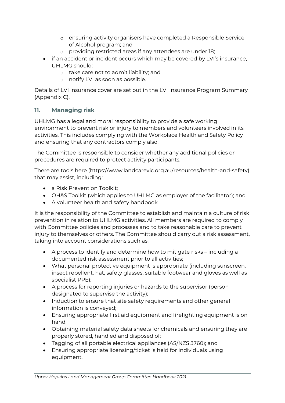- o ensuring activity organisers have completed a Responsible Service of Alcohol program; and
- o providing restricted areas if any attendees are under 18;
- if an accident or incident occurs which may be covered by LVI's insurance, UHLMG should:
	- o take care not to admit liability; and
	- o notify LVI as soon as possible.

Details of LVI insurance cover are set out in the LVI Insurance Program Summary (Appendix C).

## <span id="page-14-0"></span>**11. Managing risk**

UHLMG has a legal and moral responsibility to provide a safe working environment to prevent risk or injury to members and volunteers involved in its activities. This includes complying with the Workplace Health and Safety Policy and ensuring that any contractors comply also.

The Committee is responsible to consider whether any additional policies or procedures are required to protect activity participants.

There are tools here (https://www.landcarevic.org.au/resources/health-and-safety) that may assist, including:

- a Risk Prevention Toolkit:
- OH&S Toolkit (which applies to UHLMG as employer of the facilitator); and
- A volunteer health and safety handbook.

It is the responsibility of the Committee to establish and maintain a culture of risk prevention in relation to UHLMG activities. All members are required to comply with Committee policies and processes and to take reasonable care to prevent injury to themselves or others. The Committee should carry out a risk assessment, taking into account considerations such as:

- A process to identify and determine how to mitigate risks including a documented risk assessment prior to all activities;
- What personal protective equipment is appropriate (including sunscreen, insect repellent, hat, safety glasses, suitable footwear and gloves as well as specialist PPE);
- A process for reporting injuries or hazards to the supervisor (person designated to supervise the activity);
- Induction to ensure that site safety requirements and other general information is conveyed;
- Ensuring appropriate first aid equipment and firefighting equipment is on hand;
- Obtaining material safety data sheets for chemicals and ensuring they are properly stored, handled and disposed of;
- Tagging of all portable electrical appliances (AS/NZS 3760); and
- Ensuring appropriate licensing/ticket is held for individuals using equipment.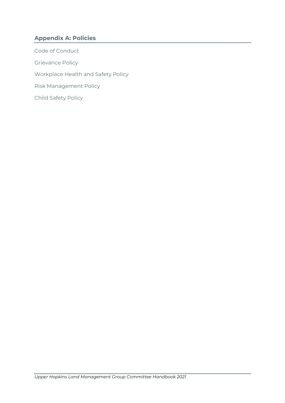## <span id="page-15-0"></span>**Appendix A: Policies**

<span id="page-15-5"></span><span id="page-15-4"></span><span id="page-15-3"></span><span id="page-15-2"></span><span id="page-15-1"></span>Code of Conduct Grievance Policy Workplace Health and Safety Policy Risk Management Policy Child Safety Policy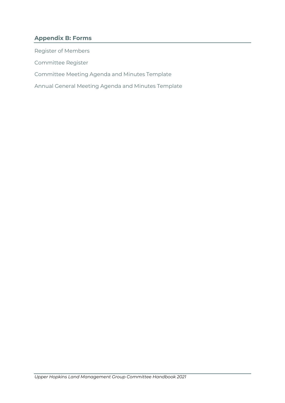## <span id="page-16-0"></span>**Appendix B: Forms**

<span id="page-16-4"></span><span id="page-16-3"></span><span id="page-16-2"></span><span id="page-16-1"></span>Register of Members Committee Register Committee Meeting Agenda and Minutes Template Annual General Meeting Agenda and Minutes Template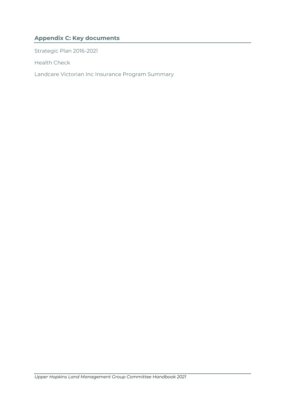## <span id="page-17-0"></span>**Appendix C: Key documents**

<span id="page-17-1"></span>Strategic Plan 2016-2021

<span id="page-17-2"></span>Health Check

<span id="page-17-3"></span>Landcare Victorian Inc Insurance Program Summary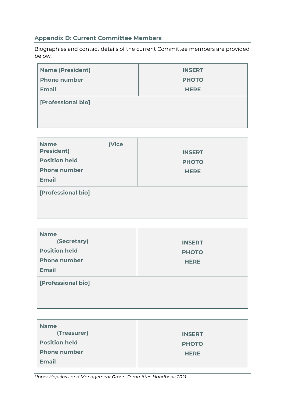## <span id="page-18-0"></span>**Appendix D: Current Committee Members**

Biographies and contact details of the current Committee members are provided below.

| <b>Name (President)</b> | <b>INSERT</b> |  |
|-------------------------|---------------|--|
| <b>Phone number</b>     | <b>PHOTO</b>  |  |
| <b>Email</b>            | <b>HERE</b>   |  |
| [Professional bio]      |               |  |

| <b>Name</b>          | (Vice |               |
|----------------------|-------|---------------|
| <b>President)</b>    |       | <b>INSERT</b> |
| <b>Position held</b> |       | <b>PHOTO</b>  |
| <b>Phone number</b>  |       | <b>HERE</b>   |
| <b>Email</b>         |       |               |
| [Professional bio]   |       |               |
|                      |       |               |
|                      |       |               |

| <b>Name</b><br>(Secretary)<br><b>Position held</b><br><b>Phone number</b><br><b>Email</b> | <b>INSERT</b><br><b>PHOTO</b><br><b>HERE</b> |  |
|-------------------------------------------------------------------------------------------|----------------------------------------------|--|
| [Professional bio]                                                                        |                                              |  |

| <b>Name</b>          |               |
|----------------------|---------------|
| (Treasurer)          | <b>INSERT</b> |
| <b>Position held</b> | <b>PHOTO</b>  |
| <b>Phone number</b>  | <b>HERE</b>   |
| <b>Email</b>         |               |

*Upper Hopkins Land Management Group Committee Handbook 2021*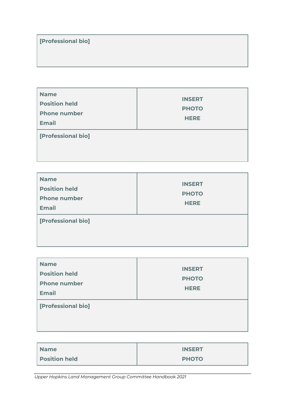## **[Professional bio]**

T

| <b>Name</b><br><b>Position held</b><br><b>Phone number</b><br><b>Email</b> | <b>INSERT</b><br><b>PHOTO</b><br><b>HERE</b> |  |
|----------------------------------------------------------------------------|----------------------------------------------|--|
| [Professional bio]                                                         |                                              |  |

| <b>Name</b><br><b>Position held</b><br><b>Phone number</b><br><b>Email</b> | <b>INSERT</b><br><b>PHOTO</b><br><b>HERE</b> |  |
|----------------------------------------------------------------------------|----------------------------------------------|--|
| [Professional bio]                                                         |                                              |  |

| <b>Name</b><br><b>Position held</b><br><b>Phone number</b><br><b>Email</b> | <b>INSERT</b><br><b>PHOTO</b><br><b>HERE</b> |  |
|----------------------------------------------------------------------------|----------------------------------------------|--|
| [Professional bio]                                                         |                                              |  |

| Name                 | <b>INSERT</b> |
|----------------------|---------------|
| <b>Position held</b> | <b>PHOTO</b>  |